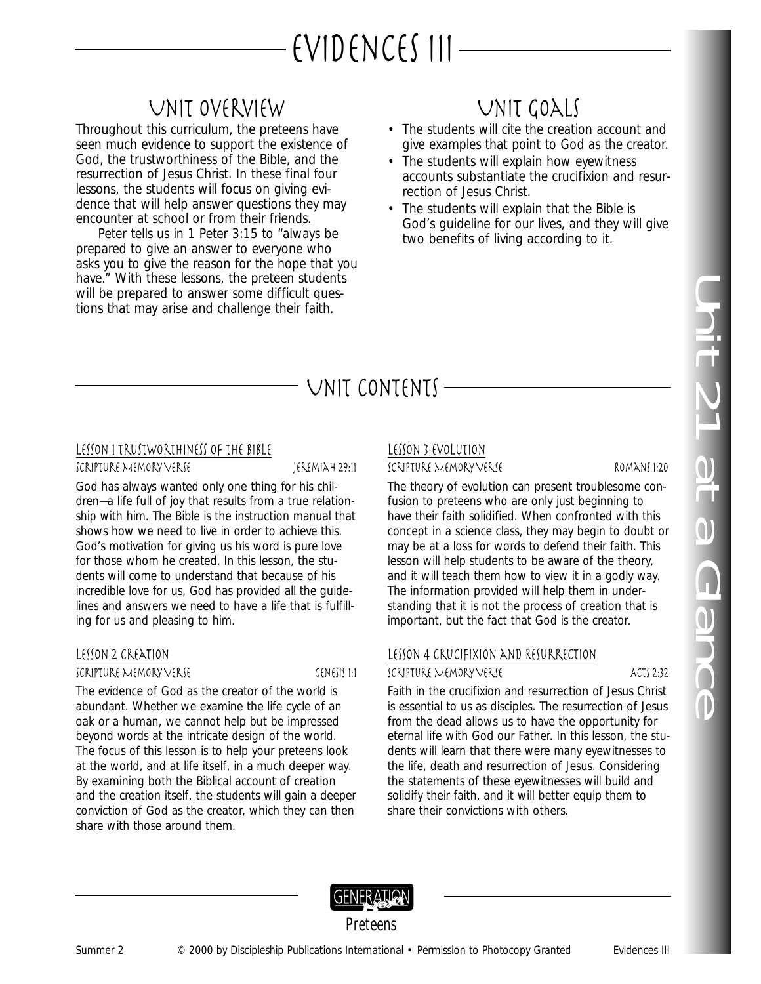# EVIDENCES III-

# Unit Overview

Throughout this curriculum, the preteens have seen much evidence to support the existence of God, the trustworthiness of the Bible, and the resurrection of Jesus Christ. In these final four lessons, the students will focus on giving evidence that will help answer questions they may encounter at school or from their friends.

Peter tells us in 1 Peter 3:15 to "always be prepared to give an answer to everyone who asks you to give the reason for the hope that you have." With these lessons, the preteen students will be prepared to answer some difficult questions that may arise and challenge their faith.

# Unit Goals

- The students will cite the creation account and give examples that point to God as the creator.
- The students will explain how eyewitness accounts substantiate the crucifixion and resurrection of Jesus Christ.
- The students will explain that the Bible is God's guideline for our lives, and they will give two benefits of living according to it.

# UNIT CONTENTS  $-$

### LESSON I TRUSTWORTHINESS OF THE BIBLE

Scripture Memory Verse Jeremiah 29:11

God has always wanted only one thing for his children—a life full of joy that results from a true relationship with him. The Bible is the instruction manual that shows how we need to live in order to achieve this. God's motivation for giving us his word is pure love for those whom he created. In this lesson, the students will come to understand that because of his incredible love for us, God has provided all the guidelines and answers we need to have a life that is fulfilling for us and pleasing to him.

## Lesson 2 Creation

#### Scripture Memory Verse Genesis 1:1

The evidence of God as the creator of the world is abundant. Whether we examine the life cycle of an oak or a human, we cannot help but be impressed beyond words at the intricate design of the world. The focus of this lesson is to help your preteens look at the world, and at life itself, in a much deeper way. By examining both the Biblical account of creation and the creation itself, the students will gain a deeper conviction of God as the creator, which they can then share with those around them.

# Lesson 3 Evolution

## Scripture Memory Verse Romans 1:20

The theory of evolution can present troublesome confusion to preteens who are only just beginning to have their faith solidified. When confronted with this concept in a science class, they may begin to doubt or may be at a loss for words to defend their faith. This lesson will help students to be aware of the theory, and it will teach them how to view it in a godly way. The information provided will help them in understanding that it is not the process of creation that is important, but the fact that God is the creator.

# Lesson 4 Crucifixion and Resurrection

### Scripture Memory Verse Acts 2:32

Faith in the crucifixion and resurrection of Jesus Christ is essential to us as disciples. The resurrection of Jesus from the dead allows us to have the opportunity for eternal life with God our Father. In this lesson, the students will learn that there were many eyewitnesses to the life, death and resurrection of Jesus. Considering the statements of these eyewitnesses will build and solidify their faith, and it will better equip them to share their convictions with others.